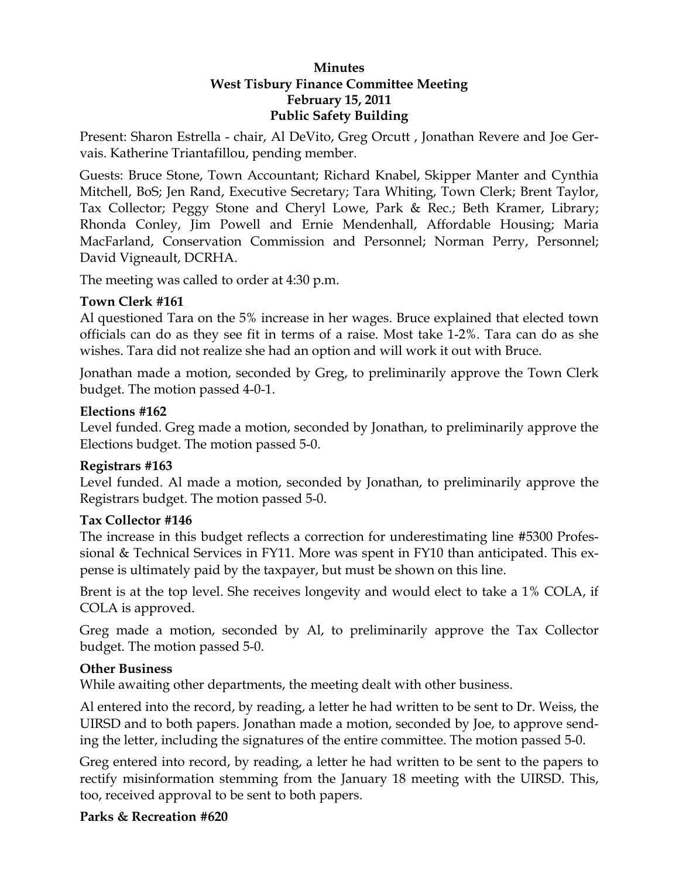#### **Minutes West Tisbury Finance Committee Meeting February 15, 2011 Public Safety Building**

Present: Sharon Estrella - chair, Al DeVito, Greg Orcutt , Jonathan Revere and Joe Gervais. Katherine Triantafillou, pending member.

Guests: Bruce Stone, Town Accountant; Richard Knabel, Skipper Manter and Cynthia Mitchell, BoS; Jen Rand, Executive Secretary; Tara Whiting, Town Clerk; Brent Taylor, Tax Collector; Peggy Stone and Cheryl Lowe, Park & Rec.; Beth Kramer, Library; Rhonda Conley, Jim Powell and Ernie Mendenhall, Affordable Housing; Maria MacFarland, Conservation Commission and Personnel; Norman Perry, Personnel; David Vigneault, DCRHA.

The meeting was called to order at 4:30 p.m.

#### **Town Clerk #161**

Al questioned Tara on the 5% increase in her wages. Bruce explained that elected town officials can do as they see fit in terms of a raise. Most take 1-2%. Tara can do as she wishes. Tara did not realize she had an option and will work it out with Bruce.

Jonathan made a motion, seconded by Greg, to preliminarily approve the Town Clerk budget. The motion passed 4-0-1.

#### **Elections #162**

Level funded. Greg made a motion, seconded by Jonathan, to preliminarily approve the Elections budget. The motion passed 5-0.

## **Registrars #163**

Level funded. Al made a motion, seconded by Jonathan, to preliminarily approve the Registrars budget. The motion passed 5-0.

## **Tax Collector #146**

The increase in this budget reflects a correction for underestimating line #5300 Professional & Technical Services in FY11. More was spent in FY10 than anticipated. This expense is ultimately paid by the taxpayer, but must be shown on this line.

Brent is at the top level. She receives longevity and would elect to take a 1% COLA, if COLA is approved.

Greg made a motion, seconded by Al, to preliminarily approve the Tax Collector budget. The motion passed 5-0.

#### **Other Business**

While awaiting other departments, the meeting dealt with other business.

Al entered into the record, by reading, a letter he had written to be sent to Dr. Weiss, the UIRSD and to both papers. Jonathan made a motion, seconded by Joe, to approve sending the letter, including the signatures of the entire committee. The motion passed 5-0.

Greg entered into record, by reading, a letter he had written to be sent to the papers to rectify misinformation stemming from the January 18 meeting with the UIRSD. This, too, received approval to be sent to both papers.

## **Parks & Recreation #620**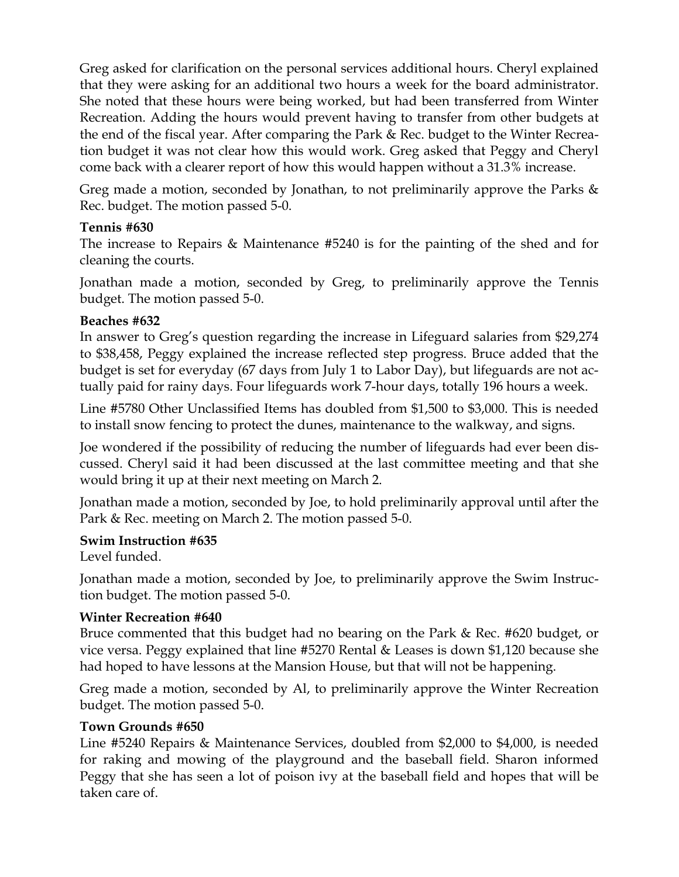Greg asked for clarification on the personal services additional hours. Cheryl explained that they were asking for an additional two hours a week for the board administrator. She noted that these hours were being worked, but had been transferred from Winter Recreation. Adding the hours would prevent having to transfer from other budgets at the end of the fiscal year. After comparing the Park & Rec. budget to the Winter Recreation budget it was not clear how this would work. Greg asked that Peggy and Cheryl come back with a clearer report of how this would happen without a 31.3% increase.

Greg made a motion, seconded by Jonathan, to not preliminarily approve the Parks & Rec. budget. The motion passed 5-0.

## **Tennis #630**

The increase to Repairs & Maintenance #5240 is for the painting of the shed and for cleaning the courts.

Jonathan made a motion, seconded by Greg, to preliminarily approve the Tennis budget. The motion passed 5-0.

# **Beaches #632**

In answer to Greg's question regarding the increase in Lifeguard salaries from \$29,274 to \$38,458, Peggy explained the increase reflected step progress. Bruce added that the budget is set for everyday (67 days from July 1 to Labor Day), but lifeguards are not actually paid for rainy days. Four lifeguards work 7-hour days, totally 196 hours a week.

Line #5780 Other Unclassified Items has doubled from \$1,500 to \$3,000. This is needed to install snow fencing to protect the dunes, maintenance to the walkway, and signs.

Joe wondered if the possibility of reducing the number of lifeguards had ever been discussed. Cheryl said it had been discussed at the last committee meeting and that she would bring it up at their next meeting on March 2.

Jonathan made a motion, seconded by Joe, to hold preliminarily approval until after the Park & Rec. meeting on March 2. The motion passed 5-0.

## **Swim Instruction #635**

Level funded.

Jonathan made a motion, seconded by Joe, to preliminarily approve the Swim Instruction budget. The motion passed 5-0.

## **Winter Recreation #640**

Bruce commented that this budget had no bearing on the Park & Rec. #620 budget, or vice versa. Peggy explained that line #5270 Rental & Leases is down \$1,120 because she had hoped to have lessons at the Mansion House, but that will not be happening.

Greg made a motion, seconded by Al, to preliminarily approve the Winter Recreation budget. The motion passed 5-0.

## **Town Grounds #650**

Line #5240 Repairs & Maintenance Services, doubled from \$2,000 to \$4,000, is needed for raking and mowing of the playground and the baseball field. Sharon informed Peggy that she has seen a lot of poison ivy at the baseball field and hopes that will be taken care of.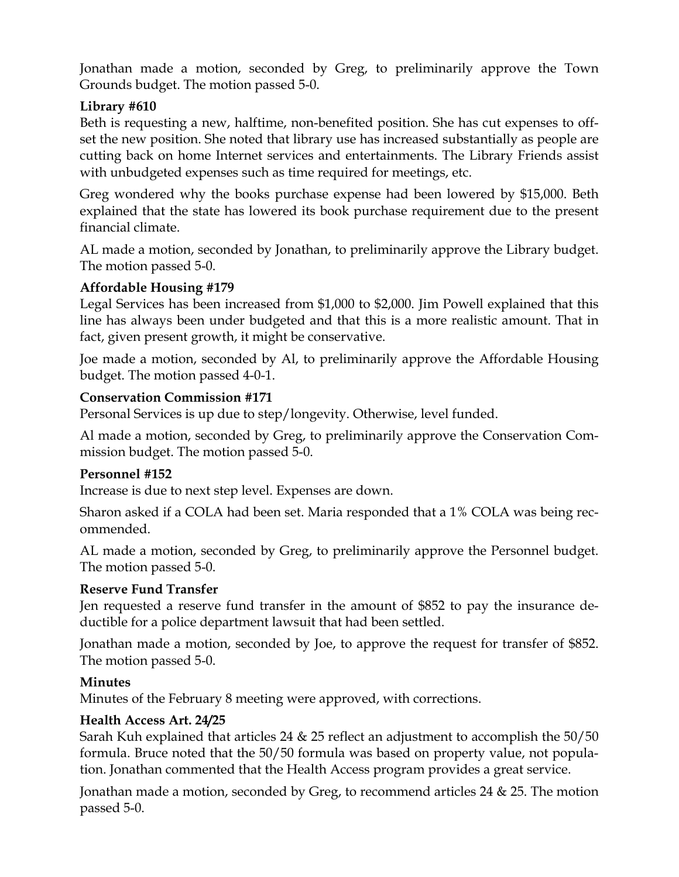Jonathan made a motion, seconded by Greg, to preliminarily approve the Town Grounds budget. The motion passed 5-0.

# **Library #610**

Beth is requesting a new, halftime, non-benefited position. She has cut expenses to offset the new position. She noted that library use has increased substantially as people are cutting back on home Internet services and entertainments. The Library Friends assist with unbudgeted expenses such as time required for meetings, etc.

Greg wondered why the books purchase expense had been lowered by \$15,000. Beth explained that the state has lowered its book purchase requirement due to the present financial climate.

AL made a motion, seconded by Jonathan, to preliminarily approve the Library budget. The motion passed 5-0.

# **Affordable Housing #179**

Legal Services has been increased from \$1,000 to \$2,000. Jim Powell explained that this line has always been under budgeted and that this is a more realistic amount. That in fact, given present growth, it might be conservative.

Joe made a motion, seconded by Al, to preliminarily approve the Affordable Housing budget. The motion passed 4-0-1.

## **Conservation Commission #171**

Personal Services is up due to step/longevity. Otherwise, level funded.

Al made a motion, seconded by Greg, to preliminarily approve the Conservation Commission budget. The motion passed 5-0.

## **Personnel #152**

Increase is due to next step level. Expenses are down.

Sharon asked if a COLA had been set. Maria responded that a 1% COLA was being recommended.

AL made a motion, seconded by Greg, to preliminarily approve the Personnel budget. The motion passed 5-0.

## **Reserve Fund Transfer**

Jen requested a reserve fund transfer in the amount of \$852 to pay the insurance deductible for a police department lawsuit that had been settled.

Jonathan made a motion, seconded by Joe, to approve the request for transfer of \$852. The motion passed 5-0.

## **Minutes**

Minutes of the February 8 meeting were approved, with corrections.

## **Health Access Art. 24/25**

Sarah Kuh explained that articles 24 & 25 reflect an adjustment to accomplish the 50/50 formula. Bruce noted that the 50/50 formula was based on property value, not population. Jonathan commented that the Health Access program provides a great service.

Jonathan made a motion, seconded by Greg, to recommend articles 24 & 25. The motion passed 5-0.